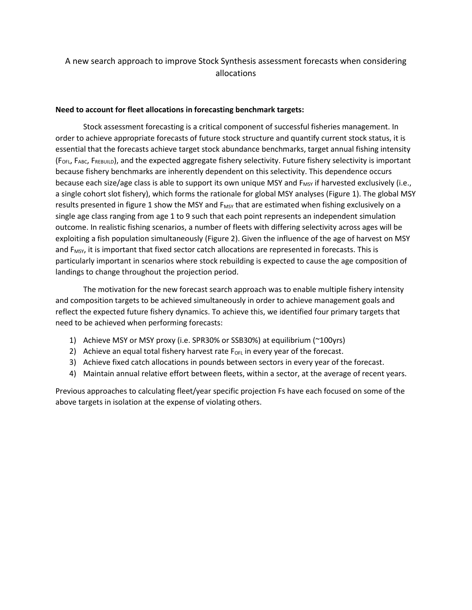## A new search approach to improve Stock Synthesis assessment forecasts when considering allocations

## **Need to account for fleet allocations in forecasting benchmark targets:**

Stock assessment forecasting is a critical component of successful fisheries management. In order to achieve appropriate forecasts of future stock structure and quantify current stock status, it is essential that the forecasts achieve target stock abundance benchmarks, target annual fishing intensity (FOFL, FABC, FREBUILD), and the expected aggregate fishery selectivity. Future fishery selectivity is important because fishery benchmarks are inherently dependent on this selectivity. This dependence occurs because each size/age class is able to support its own unique MSY and  $F_{MSY}$  if harvested exclusively (i.e., a single cohort slot fishery), which forms the rationale for global MSY analyses (Figure 1). The global MSY results presented in figure 1 show the MSY and  $F_{MSY}$  that are estimated when fishing exclusively on a single age class ranging from age 1 to 9 such that each point represents an independent simulation outcome. In realistic fishing scenarios, a number of fleets with differing selectivity across ages will be exploiting a fish population simultaneously (Figure 2). Given the influence of the age of harvest on MSY and F<sub>MSY</sub>, it is important that fixed sector catch allocations are represented in forecasts. This is particularly important in scenarios where stock rebuilding is expected to cause the age composition of landings to change throughout the projection period.

The motivation for the new forecast search approach was to enable multiple fishery intensity and composition targets to be achieved simultaneously in order to achieve management goals and reflect the expected future fishery dynamics. To achieve this, we identified four primary targets that need to be achieved when performing forecasts:

- 1) Achieve MSY or MSY proxy (i.e. SPR30% or SSB30%) at equilibrium (~100yrs)
- 2) Achieve an equal total fishery harvest rate  $F_{OFL}$  in every year of the forecast.
- 3) Achieve fixed catch allocations in pounds between sectors in every year of the forecast.
- 4) Maintain annual relative effort between fleets, within a sector, at the average of recent years.

Previous approaches to calculating fleet/year specific projection Fs have each focused on some of the above targets in isolation at the expense of violating others.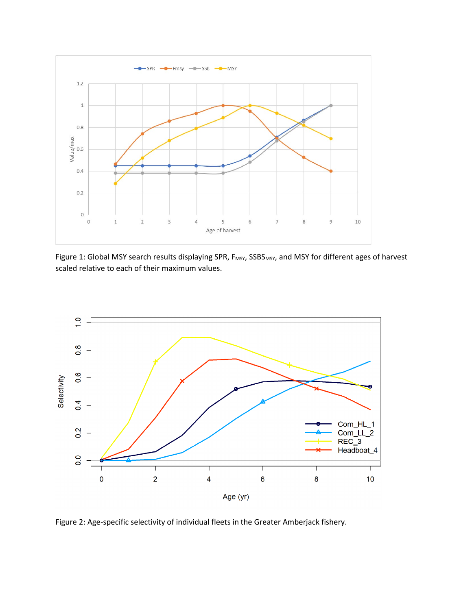

Figure 1: Global MSY search results displaying SPR, F<sub>MSY</sub>, SSBS<sub>MSY</sub>, and MSY for different ages of harvest scaled relative to each of their maximum values.



Figure 2: Age-specific selectivity of individual fleets in the Greater Amberjack fishery.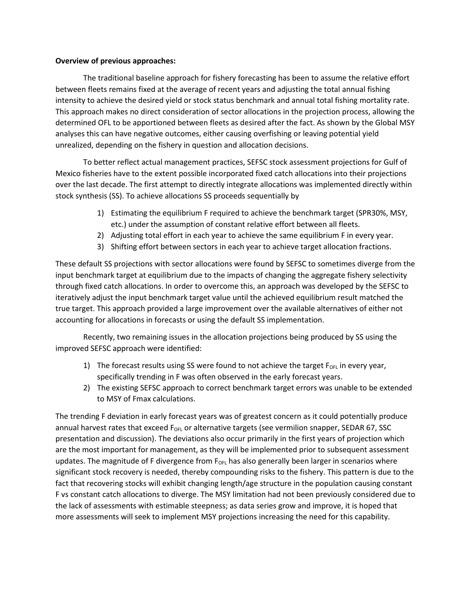## **Overview of previous approaches:**

The traditional baseline approach for fishery forecasting has been to assume the relative effort between fleets remains fixed at the average of recent years and adjusting the total annual fishing intensity to achieve the desired yield or stock status benchmark and annual total fishing mortality rate. This approach makes no direct consideration of sector allocations in the projection process, allowing the determined OFL to be apportioned between fleets as desired after the fact. As shown by the Global MSY analyses this can have negative outcomes, either causing overfishing or leaving potential yield unrealized, depending on the fishery in question and allocation decisions.

To better reflect actual management practices, SEFSC stock assessment projections for Gulf of Mexico fisheries have to the extent possible incorporated fixed catch allocations into their projections over the last decade. The first attempt to directly integrate allocations was implemented directly within stock synthesis (SS). To achieve allocations SS proceeds sequentially by

- 1) Estimating the equilibrium F required to achieve the benchmark target (SPR30%, MSY, etc.) under the assumption of constant relative effort between all fleets.
- 2) Adjusting total effort in each year to achieve the same equilibrium F in every year.
- 3) Shifting effort between sectors in each year to achieve target allocation fractions.

These default SS projections with sector allocations were found by SEFSC to sometimes diverge from the input benchmark target at equilibrium due to the impacts of changing the aggregate fishery selectivity through fixed catch allocations. In order to overcome this, an approach was developed by the SEFSC to iteratively adjust the input benchmark target value until the achieved equilibrium result matched the true target. This approach provided a large improvement over the available alternatives of either not accounting for allocations in forecasts or using the default SS implementation.

Recently, two remaining issues in the allocation projections being produced by SS using the improved SEFSC approach were identified:

- 1) The forecast results using SS were found to not achieve the target  $F_{OFL}$  in every year, specifically trending in F was often observed in the early forecast years.
- 2) The existing SEFSC approach to correct benchmark target errors was unable to be extended to MSY of Fmax calculations.

The trending F deviation in early forecast years was of greatest concern as it could potentially produce annual harvest rates that exceed F<sub>OFL</sub> or alternative targets (see vermilion snapper, SEDAR 67, SSC presentation and discussion). The deviations also occur primarily in the first years of projection which are the most important for management, as they will be implemented prior to subsequent assessment updates. The magnitude of F divergence from  $F_{OFL}$  has also generally been larger in scenarios where significant stock recovery is needed, thereby compounding risks to the fishery. This pattern is due to the fact that recovering stocks will exhibit changing length/age structure in the population causing constant F vs constant catch allocations to diverge. The MSY limitation had not been previously considered due to the lack of assessments with estimable steepness; as data series grow and improve, it is hoped that more assessments will seek to implement MSY projections increasing the need for this capability.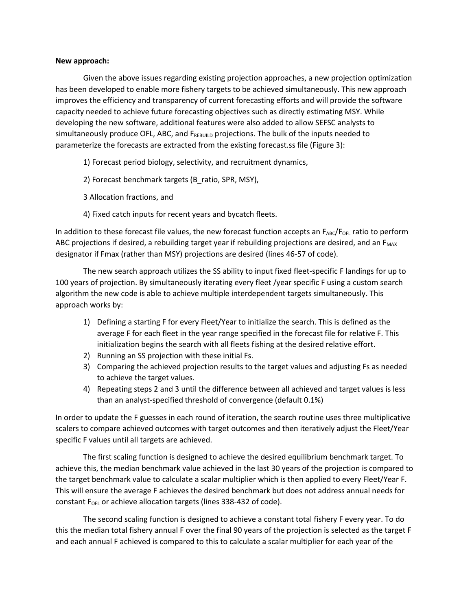## **New approach:**

Given the above issues regarding existing projection approaches, a new projection optimization has been developed to enable more fishery targets to be achieved simultaneously. This new approach improves the efficiency and transparency of current forecasting efforts and will provide the software capacity needed to achieve future forecasting objectives such as directly estimating MSY. While developing the new software, additional features were also added to allow SEFSC analysts to simultaneously produce OFL, ABC, and  $F_{REBULD}$  projections. The bulk of the inputs needed to parameterize the forecasts are extracted from the existing forecast.ss file (Figure 3):

- 1) Forecast period biology, selectivity, and recruitment dynamics,
- 2) Forecast benchmark targets (B\_ratio, SPR, MSY),
- 3 Allocation fractions, and
- 4) Fixed catch inputs for recent years and bycatch fleets.

In addition to these forecast file values, the new forecast function accepts an  $F_{ABC}/F_{OFL}$  ratio to perform ABC projections if desired, a rebuilding target year if rebuilding projections are desired, and an  $F_{MAX}$ designator if Fmax (rather than MSY) projections are desired (lines 46-57 of code).

The new search approach utilizes the SS ability to input fixed fleet-specific F landings for up to 100 years of projection. By simultaneously iterating every fleet /year specific F using a custom search algorithm the new code is able to achieve multiple interdependent targets simultaneously. This approach works by:

- 1) Defining a starting F for every Fleet/Year to initialize the search. This is defined as the average F for each fleet in the year range specified in the forecast file for relative F. This initialization begins the search with all fleets fishing at the desired relative effort.
- 2) Running an SS projection with these initial Fs.
- 3) Comparing the achieved projection results to the target values and adjusting Fs as needed to achieve the target values.
- 4) Repeating steps 2 and 3 until the difference between all achieved and target values is less than an analyst-specified threshold of convergence (default 0.1%)

In order to update the F guesses in each round of iteration, the search routine uses three multiplicative scalers to compare achieved outcomes with target outcomes and then iteratively adjust the Fleet/Year specific F values until all targets are achieved.

The first scaling function is designed to achieve the desired equilibrium benchmark target. To achieve this, the median benchmark value achieved in the last 30 years of the projection is compared to the target benchmark value to calculate a scalar multiplier which is then applied to every Fleet/Year F. This will ensure the average F achieves the desired benchmark but does not address annual needs for constant  $F<sub>OFL</sub>$  or achieve allocation targets (lines 338-432 of code).

The second scaling function is designed to achieve a constant total fishery F every year. To do this the median total fishery annual F over the final 90 years of the projection is selected as the target F and each annual F achieved is compared to this to calculate a scalar multiplier for each year of the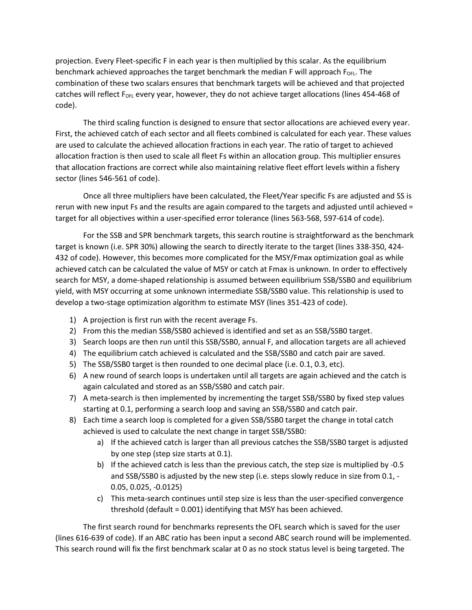projection. Every Fleet-specific F in each year is then multiplied by this scalar. As the equilibrium benchmark achieved approaches the target benchmark the median F will approach F<sub>OFL</sub>. The combination of these two scalars ensures that benchmark targets will be achieved and that projected catches will reflect F<sub>OFL</sub> every year, however, they do not achieve target allocations (lines 454-468 of code).

The third scaling function is designed to ensure that sector allocations are achieved every year. First, the achieved catch of each sector and all fleets combined is calculated for each year. These values are used to calculate the achieved allocation fractions in each year. The ratio of target to achieved allocation fraction is then used to scale all fleet Fs within an allocation group. This multiplier ensures that allocation fractions are correct while also maintaining relative fleet effort levels within a fishery sector (lines 546-561 of code).

Once all three multipliers have been calculated, the Fleet/Year specific Fs are adjusted and SS is rerun with new input Fs and the results are again compared to the targets and adjusted until achieved = target for all objectives within a user-specified error tolerance (lines 563-568, 597-614 of code).

For the SSB and SPR benchmark targets, this search routine is straightforward as the benchmark target is known (i.e. SPR 30%) allowing the search to directly iterate to the target (lines 338-350, 424- 432 of code). However, this becomes more complicated for the MSY/Fmax optimization goal as while achieved catch can be calculated the value of MSY or catch at Fmax is unknown. In order to effectively search for MSY, a dome-shaped relationship is assumed between equilibrium SSB/SSB0 and equilibrium yield, with MSY occurring at some unknown intermediate SSB/SSB0 value. This relationship is used to develop a two-stage optimization algorithm to estimate MSY (lines 351-423 of code).

- 1) A projection is first run with the recent average Fs.
- 2) From this the median SSB/SSB0 achieved is identified and set as an SSB/SSB0 target.
- 3) Search loops are then run until this SSB/SSB0, annual F, and allocation targets are all achieved
- 4) The equilibrium catch achieved is calculated and the SSB/SSB0 and catch pair are saved.
- 5) The SSB/SSB0 target is then rounded to one decimal place (i.e. 0.1, 0.3, etc).
- 6) A new round of search loops is undertaken until all targets are again achieved and the catch is again calculated and stored as an SSB/SSB0 and catch pair.
- 7) A meta-search is then implemented by incrementing the target SSB/SSB0 by fixed step values starting at 0.1, performing a search loop and saving an SSB/SSB0 and catch pair.
- 8) Each time a search loop is completed for a given SSB/SSB0 target the change in total catch achieved is used to calculate the next change in target SSB/SSB0:
	- a) If the achieved catch is larger than all previous catches the SSB/SSB0 target is adjusted by one step (step size starts at 0.1).
	- b) If the achieved catch is less than the previous catch, the step size is multiplied by -0.5 and SSB/SSB0 is adjusted by the new step (i.e. steps slowly reduce in size from 0.1, - 0.05, 0.025, -0.0125)
	- c) This meta-search continues until step size is less than the user-specified convergence threshold (default = 0.001) identifying that MSY has been achieved.

The first search round for benchmarks represents the OFL search which is saved for the user (lines 616-639 of code). If an ABC ratio has been input a second ABC search round will be implemented. This search round will fix the first benchmark scalar at 0 as no stock status level is being targeted. The